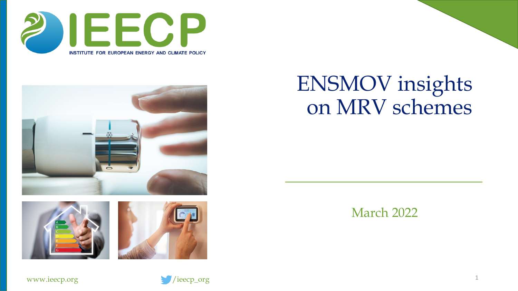







#### ENSMOV insights on MRV schemes

March 2022

1

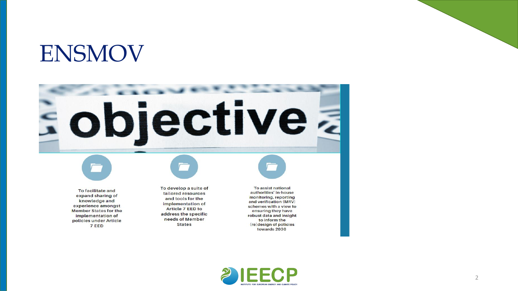#### ENSMOV

# E objective a

To facilitate and expand sharing of knowledge and experience amongst **Member States for the** implementation of policies under Article 7 EED

To develop a suite of tailored resources and tools for the implementation of Article 7 EED to address the specific needs of Member **States** 

To assist national authorities' in-house monitoring, reporting and verification (MRV) schemes with a view to ensuring they have robust data and insight to inform the (re)design of policies towards 2030

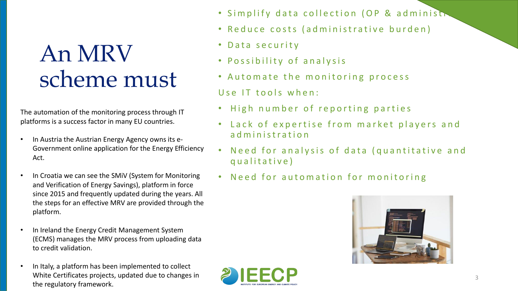#### An MRV scheme must

The automation of the monitoring process through IT platforms is a success factor in many EU countries.

- In Austria the Austrian Energy Agency owns its e-Government online application for the Energy Efficiency Act.
- In Croatia we can see the SMIV (System for Monitoring and Verification of Energy Savings), platform in force since 2015 and frequently updated during the years. All the steps for an effective MRV are provided through the platform.
- In Ireland the Energy Credit Management System (ECMS) manages the MRV process from uploading data to credit validation.
- In Italy, a platform has been implemented to collect White Certificates projects, updated due to changes in the regulatory framework.
- Simplify data collection (OP & administration
- Reduce costs (administrative burden)
- Data security
- Possibility of analysis
- Automate the monitoring process  $Use IT tools when:$
- High number of reporting parties
- Lack of expertise from market players and ad ministration
- Need for analysis of data (quantitative and qualitative)
- Need for automation for monitoring

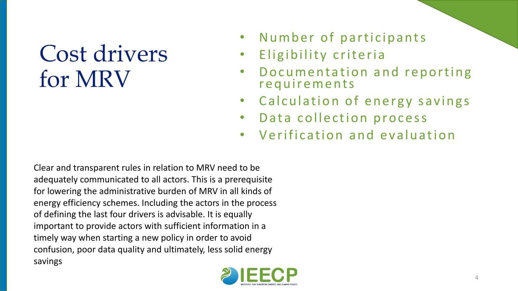### Cost drivers for MRV

- Number of participants
- Eligibility criteria
- Documentation and reporting requirements
- Calculation of energy savings
- Data collection process
- Verification and evaluation

Clear and transparent rules in relation to MRV need to be adequately communicated to all actors. This is a prerequisite for lowering the administrative burden of MRV in all kinds of energy efficiency schemes. Including the actors in the process of defining the last four drivers is advisable. It is equally important to provide actors with sufficient information in a timely way when starting a new policy in order to avoid confusion, poor data quality and ultimately, less solid energy savings

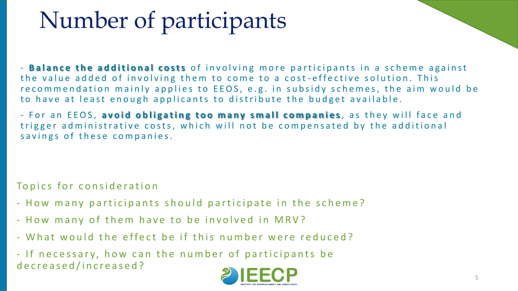## Number of participants

- **Balance the additional costs** of involving more participants in a scheme against the value added of involving them to come to a cost-effective solution. This recommendation mainly applies to EEOS, e.g. in subsidy schemes, the aim would be to have at least enough applicants to distribute the budget available.

- For an EEOS, **avoid obligating too many small companies**, as they will face and trigger administrative costs, which will not be compensated by the additional savings of these companies.

Topics for consideration

- How many participants should participate in the scheme?
- How many of them have to be involved in MRV?
- What would the effect be if this number were reduced?

- If necessary, how can the number of participants be d e c r e a s e d / i n c r e a s e d ?

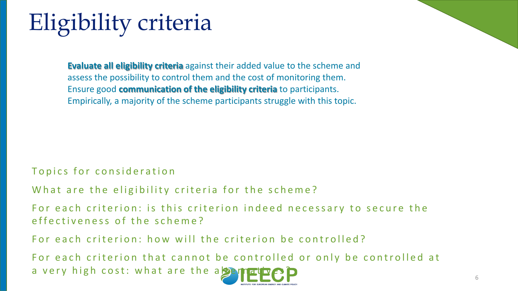## Eligibility criteria

**Evaluate all eligibility criteria** against their added value to the scheme and assess the possibility to control them and the cost of monitoring them. Ensure good **communication of the eligibility criteria** to participants. Empirically, a majority of the scheme participants struggle with this topic.

#### Topics for consideration

What are the eligibility criteria for the scheme?

For each criterion: is this criterion indeed necessary to secure the effectiveness of the scheme?

For each criterion: how will the criterion be controlled?

For each criterion that cannot be controlled or only be controlled at a very high cost: what are the a  $\mathbb{Z}$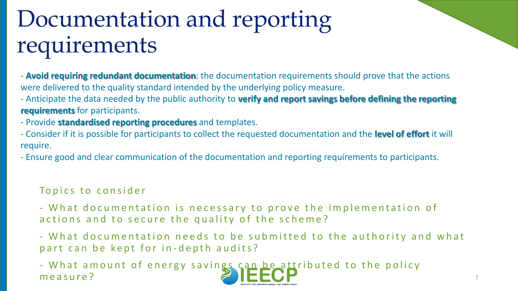## Documentation and reporting requirements

- **Avoid requiring redundant documentation**: the documentation requirements should prove that the actions were delivered to the quality standard intended by the underlying policy measure.

- Anticipate the data needed by the public authority to **verify and report savings before defining the reporting requirements** for participants.

- Provide **standardised reporting procedures** and templates.

- Consider if it is possible for participants to collect the requested documentation and the **level of effort** it will require.

- Ensure good and clear communication of the documentation and reporting requirements to participants.

#### Topics to consider

- What documentation is necessary to prove the implementation of actions and to secure the quality of the scheme?

- What documentation needs to be submitted to the authority and what p a r t c a n b e k e p t f o r in - d e p t h a u dits?

- What amount of energy savings can be attributed to the policy m e a sure? The contract of the contract of the contract of the contract of the contract of the contract of the contract of the contract of the contract of the contract of the contract of the contract of the contract of th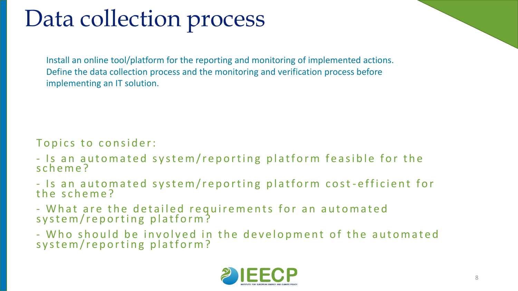## Data collection process

Install an online tool/platform for the reporting and monitoring of implemented actions. Define the data collection process and the monitoring and verification process before implementing an IT solution.

#### Topics to consider:

- Is an automated system/reporting platform feasible for the s c h e m e ?
- Is an automated system/reporting platform cost-efficient for the scheme?
- What are the detailed requirements for an automated system/reporting platform?
- Who should be involved in the development of the automated system/reporting platform?

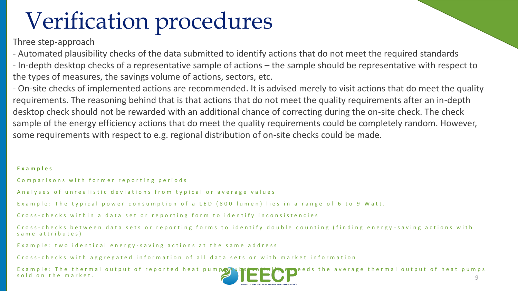### Verification procedures

Three step-approach

- Automated plausibility checks of the data submitted to identify actions that do not meet the required standards - In-depth desktop checks of a representative sample of actions – the sample should be representative with respect to the types of measures, the savings volume of actions, sectors, etc.

- On-site checks of implemented actions are recommended. It is advised merely to visit actions that do meet the quality requirements. The reasoning behind that is that actions that do not meet the quality requirements after an in-depth desktop check should not be rewarded with an additional chance of correcting during the on-site check. The check sample of the energy efficiency actions that do meet the quality requirements could be completely random. However, some requirements with respect to e.g. regional distribution of on-site checks could be made.

#### **E x a m p l e s**

Comparisons with former reporting periods

A n a l y s e s o f un r e a listic deviations from typical or a verage values

Example: The typical power consumption of a LED (800 lumen) lies in a range of 6 to 9 Watt.

C ross-checks within a data set or reporting form to identify inconsistencies

Cross-checks between data sets or reporting forms to identify double counting (finding energy-saving actions with same attributes)

Example: two identical energy-saving actions at the same address

C ross-checks with aggregated information of all data sets or with market information

Example: The thermal output of reported heat pumps substantially encoded the average thermal output of heat pumps sold on the market.  $\Box$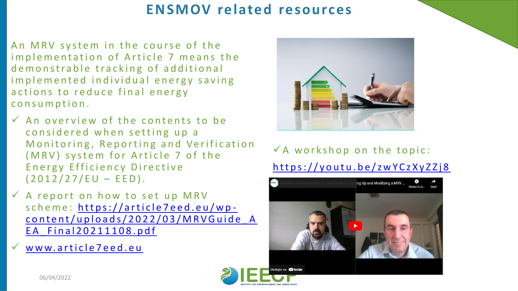#### **ENSMOV related resources**

An MRV system in the course of the implementation of Article 7 means the de monstrable tracking of additional implemented individual energy saving actions to reduce final energy consumption.

- $\checkmark$  An overview of the contents to be considered when setting up a Monitoring, Reporting and Verification (MRV) system for Article 7 of the Energy Efficiency Directive  $(2012/27/EU - EED)$ .
- $\checkmark$  A report on how to set up MRV scheme: https://article7eed.eu/wpcontent/uploads/2022/03/MRVGuide A EA Final 20211108.pdf
	- www.article7eed.eu



 $\checkmark$  A workshop on the topic: https://youtu.be/zwYCzXyZZj8